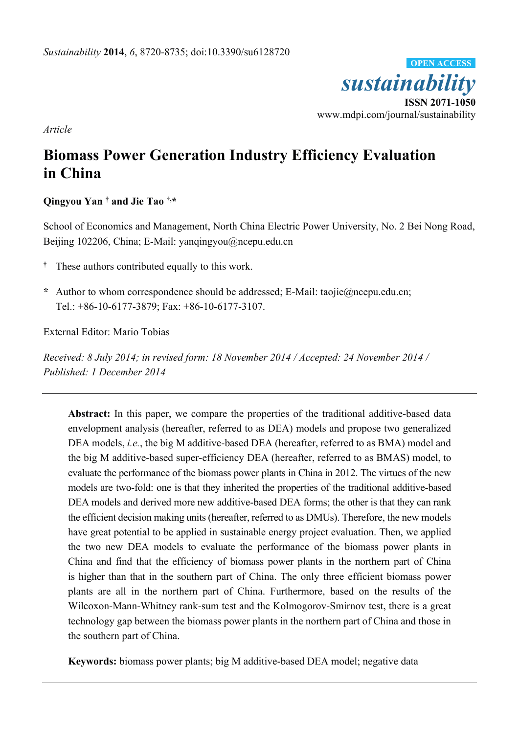

*Article* 

# **Biomass Power Generation Industry Efficiency Evaluation in China**

# **Qingyou Yan † and Jie Tao †,\***

School of Economics and Management, North China Electric Power University, No. 2 Bei Nong Road, Beijing 102206, China; E-Mail: yanqingyou@ncepu.edu.cn

- **†** These authors contributed equally to this work.
- **\*** Author to whom correspondence should be addressed; E-Mail: taojie@ncepu.edu.cn; Tel.: +86-10-6177-3879; Fax: +86-10-6177-3107.

External Editor: Mario Tobias

*Received: 8 July 2014; in revised form: 18 November 2014 / Accepted: 24 November 2014 / Published: 1 December 2014* 

**Abstract:** In this paper, we compare the properties of the traditional additive-based data envelopment analysis (hereafter, referred to as DEA) models and propose two generalized DEA models, *i.e.*, the big M additive-based DEA (hereafter, referred to as BMA) model and the big M additive-based super-efficiency DEA (hereafter, referred to as BMAS) model, to evaluate the performance of the biomass power plants in China in 2012. The virtues of the new models are two-fold: one is that they inherited the properties of the traditional additive-based DEA models and derived more new additive-based DEA forms; the other is that they can rank the efficient decision making units (hereafter, referred to as DMUs). Therefore, the new models have great potential to be applied in sustainable energy project evaluation. Then, we applied the two new DEA models to evaluate the performance of the biomass power plants in China and find that the efficiency of biomass power plants in the northern part of China is higher than that in the southern part of China. The only three efficient biomass power plants are all in the northern part of China. Furthermore, based on the results of the Wilcoxon-Mann-Whitney rank-sum test and the Kolmogorov-Smirnov test, there is a great technology gap between the biomass power plants in the northern part of China and those in the southern part of China.

**Keywords:** biomass power plants; big M additive-based DEA model; negative data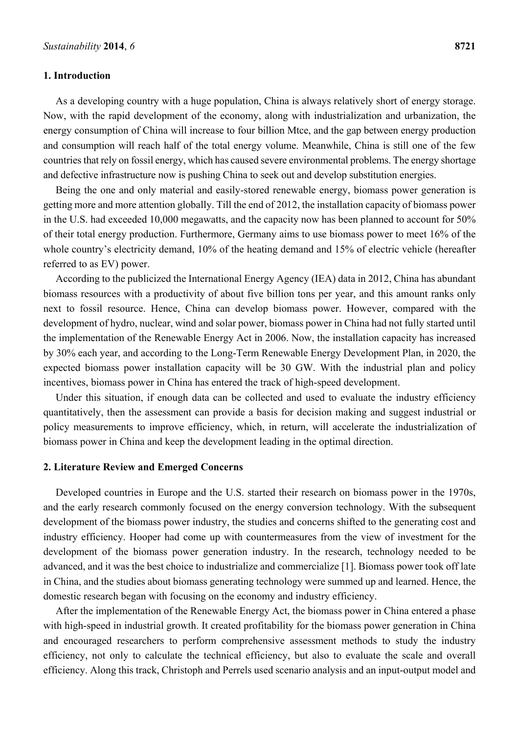## **1. Introduction**

As a developing country with a huge population, China is always relatively short of energy storage. Now, with the rapid development of the economy, along with industrialization and urbanization, the energy consumption of China will increase to four billion Mtce, and the gap between energy production and consumption will reach half of the total energy volume. Meanwhile, China is still one of the few countries that rely on fossil energy, which has caused severe environmental problems. The energy shortage and defective infrastructure now is pushing China to seek out and develop substitution energies.

Being the one and only material and easily-stored renewable energy, biomass power generation is getting more and more attention globally. Till the end of 2012, the installation capacity of biomass power in the U.S. had exceeded 10,000 megawatts, and the capacity now has been planned to account for 50% of their total energy production. Furthermore, Germany aims to use biomass power to meet 16% of the whole country's electricity demand, 10% of the heating demand and 15% of electric vehicle (hereafter referred to as EV) power.

According to the publicized the International Energy Agency (IEA) data in 2012, China has abundant biomass resources with a productivity of about five billion tons per year, and this amount ranks only next to fossil resource. Hence, China can develop biomass power. However, compared with the development of hydro, nuclear, wind and solar power, biomass power in China had not fully started until the implementation of the Renewable Energy Act in 2006. Now, the installation capacity has increased by 30% each year, and according to the Long-Term Renewable Energy Development Plan, in 2020, the expected biomass power installation capacity will be 30 GW. With the industrial plan and policy incentives, biomass power in China has entered the track of high-speed development.

Under this situation, if enough data can be collected and used to evaluate the industry efficiency quantitatively, then the assessment can provide a basis for decision making and suggest industrial or policy measurements to improve efficiency, which, in return, will accelerate the industrialization of biomass power in China and keep the development leading in the optimal direction.

#### **2. Literature Review and Emerged Concerns**

Developed countries in Europe and the U.S. started their research on biomass power in the 1970s, and the early research commonly focused on the energy conversion technology. With the subsequent development of the biomass power industry, the studies and concerns shifted to the generating cost and industry efficiency. Hooper had come up with countermeasures from the view of investment for the development of the biomass power generation industry. In the research, technology needed to be advanced, and it was the best choice to industrialize and commercialize [1]. Biomass power took off late in China, and the studies about biomass generating technology were summed up and learned. Hence, the domestic research began with focusing on the economy and industry efficiency.

After the implementation of the Renewable Energy Act, the biomass power in China entered a phase with high-speed in industrial growth. It created profitability for the biomass power generation in China and encouraged researchers to perform comprehensive assessment methods to study the industry efficiency, not only to calculate the technical efficiency, but also to evaluate the scale and overall efficiency. Along this track, Christoph and Perrels used scenario analysis and an input-output model and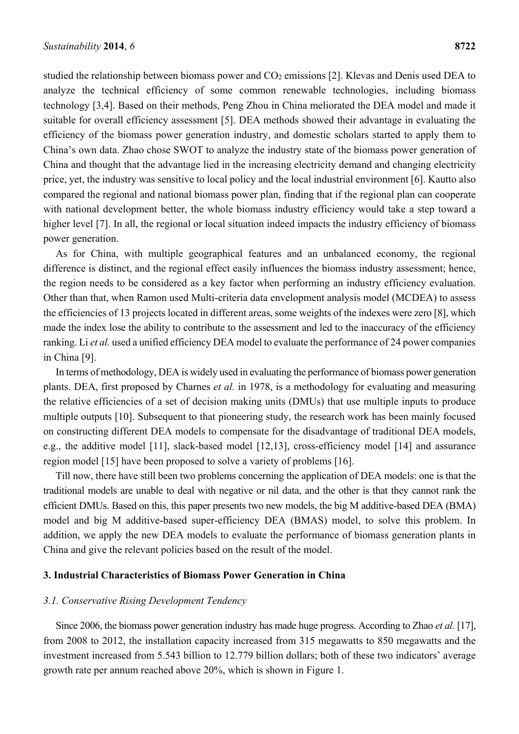studied the relationship between biomass power and CO<sub>2</sub> emissions [2]. Klevas and Denis used DEA to analyze the technical efficiency of some common renewable technologies, including biomass technology [3,4]. Based on their methods, Peng Zhou in China meliorated the DEA model and made it suitable for overall efficiency assessment [5]. DEA methods showed their advantage in evaluating the efficiency of the biomass power generation industry, and domestic scholars started to apply them to China's own data. Zhao chose SWOT to analyze the industry state of the biomass power generation of China and thought that the advantage lied in the increasing electricity demand and changing electricity price, yet, the industry was sensitive to local policy and the local industrial environment [6]. Kautto also compared the regional and national biomass power plan, finding that if the regional plan can cooperate with national development better, the whole biomass industry efficiency would take a step toward a higher level [7]. In all, the regional or local situation indeed impacts the industry efficiency of biomass power generation.

As for China, with multiple geographical features and an unbalanced economy, the regional difference is distinct, and the regional effect easily influences the biomass industry assessment; hence, the region needs to be considered as a key factor when performing an industry efficiency evaluation. Other than that, when Ramon used Multi-criteria data envelopment analysis model (MCDEA) to assess the efficiencies of 13 projects located in different areas, some weights of the indexes were zero [8], which made the index lose the ability to contribute to the assessment and led to the inaccuracy of the efficiency ranking. Li *et al.* used a unified efficiency DEA model to evaluate the performance of 24 power companies in China [9].

In terms of methodology, DEA is widely used in evaluating the performance of biomass power generation plants. DEA, first proposed by Charnes *et al.* in 1978, is a methodology for evaluating and measuring the relative efficiencies of a set of decision making units (DMUs) that use multiple inputs to produce multiple outputs [10]. Subsequent to that pioneering study, the research work has been mainly focused on constructing different DEA models to compensate for the disadvantage of traditional DEA models, e.g., the additive model [11], slack-based model [12,13], cross-efficiency model [14] and assurance region model [15] have been proposed to solve a variety of problems [16].

Till now, there have still been two problems concerning the application of DEA models: one is that the traditional models are unable to deal with negative or nil data, and the other is that they cannot rank the efficient DMUs. Based on this, this paper presents two new models, the big M additive-based DEA (BMA) model and big M additive-based super-efficiency DEA (BMAS) model, to solve this problem. In addition, we apply the new DEA models to evaluate the performance of biomass generation plants in China and give the relevant policies based on the result of the model.

#### **3. Industrial Characteristics of Biomass Power Generation in China**

## *3.1. Conservative Rising Development Tendency*

Since 2006, the biomass power generation industry has made huge progress. According to Zhao *et al.* [17], from 2008 to 2012, the installation capacity increased from 315 megawatts to 850 megawatts and the investment increased from 5.543 billion to 12.779 billion dollars; both of these two indicators' average growth rate per annum reached above 20%, which is shown in Figure 1.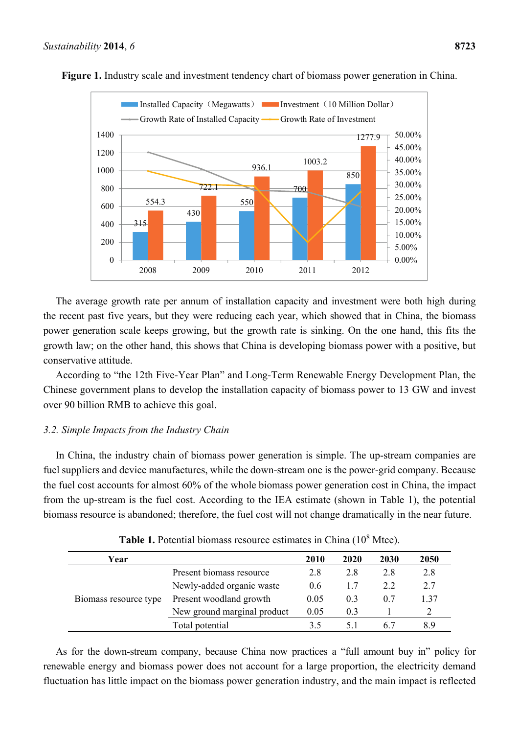

**Figure 1.** Industry scale and investment tendency chart of biomass power generation in China.

The average growth rate per annum of installation capacity and investment were both high during the recent past five years, but they were reducing each year, which showed that in China, the biomass power generation scale keeps growing, but the growth rate is sinking. On the one hand, this fits the growth law; on the other hand, this shows that China is developing biomass power with a positive, but conservative attitude.

According to "the 12th Five-Year Plan" and Long-Term Renewable Energy Development Plan, the Chinese government plans to develop the installation capacity of biomass power to 13 GW and invest over 90 billion RMB to achieve this goal.

# *3.2. Simple Impacts from the Industry Chain*

In China, the industry chain of biomass power generation is simple. The up-stream companies are fuel suppliers and device manufactures, while the down-stream one is the power-grid company. Because the fuel cost accounts for almost 60% of the whole biomass power generation cost in China, the impact from the up-stream is the fuel cost. According to the IEA estimate (shown in Table 1), the potential biomass resource is abandoned; therefore, the fuel cost will not change dramatically in the near future.

| Year                  |                             | 2010 | 2020 | 2030 | 2050 |
|-----------------------|-----------------------------|------|------|------|------|
|                       | Present biomass resource    | 2.8  | 2.8  | 2.8  | 2.8  |
|                       | Newly-added organic waste   | 0.6  | 1.7  | 2.2  | 2.7  |
| Biomass resource type | Present woodland growth     | 0.05 | 0.3  | 0.7  | 137  |
|                       | New ground marginal product | 0.05 | 0.3  |      |      |
|                       | Total potential             | 35   | 51   | 67   | 8.9  |

| Table 1. Potential biomass resource estimates in China $(10^8 \text{ Mtce})$ . |  |  |  |  |  |
|--------------------------------------------------------------------------------|--|--|--|--|--|
|--------------------------------------------------------------------------------|--|--|--|--|--|

As for the down-stream company, because China now practices a "full amount buy in" policy for renewable energy and biomass power does not account for a large proportion, the electricity demand fluctuation has little impact on the biomass power generation industry, and the main impact is reflected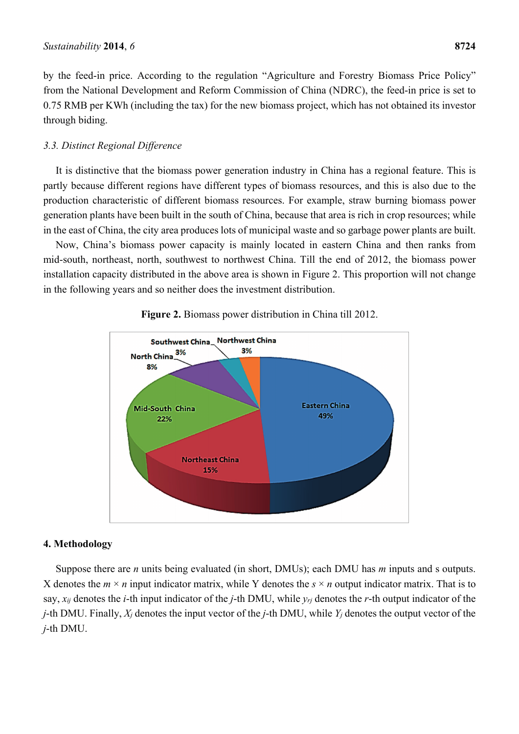by the feed-in price. According to the regulation "Agriculture and Forestry Biomass Price Policy" from the National Development and Reform Commission of China (NDRC), the feed-in price is set to 0.75 RMB per KWh (including the tax) for the new biomass project, which has not obtained its investor through biding.

# *3.3. Distinct Regional Difference*

It is distinctive that the biomass power generation industry in China has a regional feature. This is partly because different regions have different types of biomass resources, and this is also due to the production characteristic of different biomass resources. For example, straw burning biomass power generation plants have been built in the south of China, because that area is rich in crop resources; while in the east of China, the city area produces lots of municipal waste and so garbage power plants are built.

Now, China's biomass power capacity is mainly located in eastern China and then ranks from mid-south, northeast, north, southwest to northwest China. Till the end of 2012, the biomass power installation capacity distributed in the above area is shown in Figure 2. This proportion will not change in the following years and so neither does the investment distribution.



# **Figure 2.** Biomass power distribution in China till 2012.

#### **4. Methodology**

Suppose there are *n* units being evaluated (in short, DMUs); each DMU has *m* inputs and s outputs. X denotes the  $m \times n$  input indicator matrix, while Y denotes the  $s \times n$  output indicator matrix. That is to say, *xij* denotes the *i*-th input indicator of the *j*-th DMU, while *yrj* denotes the *r*-th output indicator of the *j*-th DMU. Finally, *Xj* denotes the input vector of the *j*-th DMU, while *Yj* denotes the output vector of the *j*-th DMU.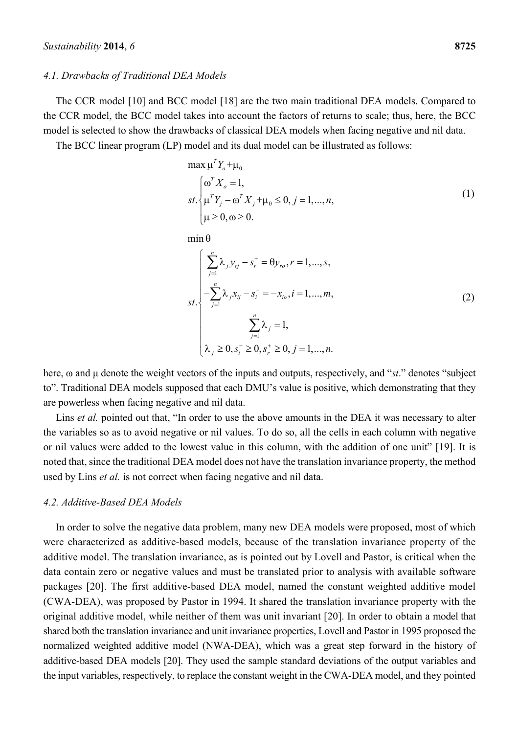#### *4.1. Drawbacks of Traditional DEA Models*

The CCR model [10] and BCC model [18] are the two main traditional DEA models. Compared to the CCR model, the BCC model takes into account the factors of returns to scale; thus, here, the BCC model is selected to show the drawbacks of classical DEA models when facing negative and nil data.

The BCC linear program (LP) model and its dual model can be illustrated as follows:

$$
\max \mu^T Y_o + \mu_0
$$
  

$$
st. \begin{cases} \omega^T X_o = 1, \\ \mu^T Y_j - \omega^T X_j + \mu_0 \le 0, j = 1, ..., n, \\ \mu \ge 0, \omega \ge 0. \end{cases}
$$
 (1)

 $min \theta$ 

$$
st.\begin{cases}\n\sum_{j=1}^{n} \lambda_{j} y_{rj} - s_{r}^{+} = \theta y_{r0}, r = 1, ..., s, \\
-\sum_{j=1}^{n} \lambda_{j} x_{ij} - s_{i}^{-} = -x_{io}, i = 1, ..., m, \\
\sum_{j=1}^{n} \lambda_{j} = 1, \\
\lambda_{j} \ge 0, s_{i}^{-} \ge 0, s_{r}^{+} \ge 0, j = 1, ..., n.\n\end{cases}
$$
\n(2)

here, ω and μ denote the weight vectors of the inputs and outputs, respectively, and "*st*." denotes "subject to". Traditional DEA models supposed that each DMU's value is positive, which demonstrating that they are powerless when facing negative and nil data.

Lins *et al.* pointed out that, "In order to use the above amounts in the DEA it was necessary to alter the variables so as to avoid negative or nil values. To do so, all the cells in each column with negative or nil values were added to the lowest value in this column, with the addition of one unit" [19]. It is noted that, since the traditional DEA model does not have the translation invariance property, the method used by Lins *et al.* is not correct when facing negative and nil data.

#### *4.2. Additive-Based DEA Models*

In order to solve the negative data problem, many new DEA models were proposed, most of which were characterized as additive-based models, because of the translation invariance property of the additive model. The translation invariance, as is pointed out by Lovell and Pastor, is critical when the data contain zero or negative values and must be translated prior to analysis with available software packages [20]. The first additive-based DEA model, named the constant weighted additive model (CWA-DEA), was proposed by Pastor in 1994. It shared the translation invariance property with the original additive model, while neither of them was unit invariant [20]. In order to obtain a model that shared both the translation invariance and unit invariance properties, Lovell and Pastor in 1995 proposed the normalized weighted additive model (NWA-DEA), which was a great step forward in the history of additive-based DEA models [20]. They used the sample standard deviations of the output variables and the input variables, respectively, to replace the constant weight in the CWA-DEA model, and they pointed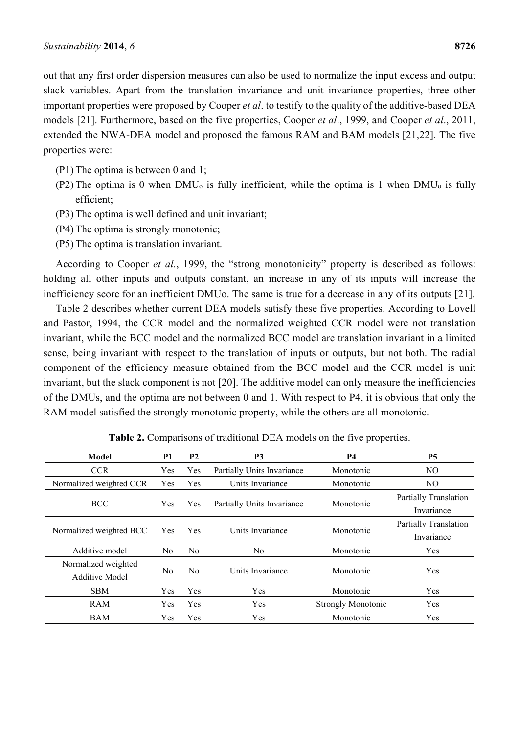out that any first order dispersion measures can also be used to normalize the input excess and output slack variables. Apart from the translation invariance and unit invariance properties, three other important properties were proposed by Cooper *et al*. to testify to the quality of the additive-based DEA models [21]. Furthermore, based on the five properties, Cooper *et al*., 1999, and Cooper *et al*., 2011, extended the NWA-DEA model and proposed the famous RAM and BAM models [21,22]. The five properties were:

- (P1) The optima is between 0 and 1;
- $(P2)$  The optima is 0 when DMU<sub>0</sub> is fully inefficient, while the optima is 1 when DMU<sub>0</sub> is fully efficient;
- (P3) The optima is well defined and unit invariant;
- (P4) The optima is strongly monotonic;
- (P5) The optima is translation invariant.

According to Cooper *et al.*, 1999, the "strong monotonicity" property is described as follows: holding all other inputs and outputs constant, an increase in any of its inputs will increase the inefficiency score for an inefficient DMUo. The same is true for a decrease in any of its outputs [21].

Table 2 describes whether current DEA models satisfy these five properties. According to Lovell and Pastor, 1994, the CCR model and the normalized weighted CCR model were not translation invariant, while the BCC model and the normalized BCC model are translation invariant in a limited sense, being invariant with respect to the translation of inputs or outputs, but not both. The radial component of the efficiency measure obtained from the BCC model and the CCR model is unit invariant, but the slack component is not [20]. The additive model can only measure the inefficiencies of the DMUs, and the optima are not between 0 and 1. With respect to P4, it is obvious that only the RAM model satisfied the strongly monotonic property, while the others are all monotonic.

| Model                                        | <b>P1</b>      | <b>P2</b>      | P <sub>3</sub>             | <b>P4</b>                 | <b>P5</b>                                  |
|----------------------------------------------|----------------|----------------|----------------------------|---------------------------|--------------------------------------------|
| <b>CCR</b>                                   | Yes            | Yes            | Partially Units Invariance | Monotonic                 | NO.                                        |
| Normalized weighted CCR                      | Yes            | Yes            | Units Invariance           | Monotonic                 | NO.                                        |
| <b>BCC</b>                                   | <b>Yes</b>     | <b>Yes</b>     | Partially Units Invariance | Monotonic                 | <b>Partially Translation</b><br>Invariance |
| Normalized weighted BCC                      | Yes.           | <b>Yes</b>     | Units Invariance           | Monotonic                 | <b>Partially Translation</b><br>Invariance |
| Additive model                               | N <sub>0</sub> | No             | No.                        | Monotonic                 | Yes                                        |
| Normalized weighted<br><b>Additive Model</b> | No             | N <sub>0</sub> | Units Invariance           | Monotonic                 | Yes                                        |
| <b>SBM</b>                                   | Yes            | Yes            | Yes                        | Monotonic                 | Yes                                        |
| <b>RAM</b>                                   | Yes            | Yes            | Yes                        | <b>Strongly Monotonic</b> | Yes                                        |
| BAM                                          | Yes            | Yes            | Yes                        | Monotonic                 | Yes                                        |

**Table 2.** Comparisons of traditional DEA models on the five properties.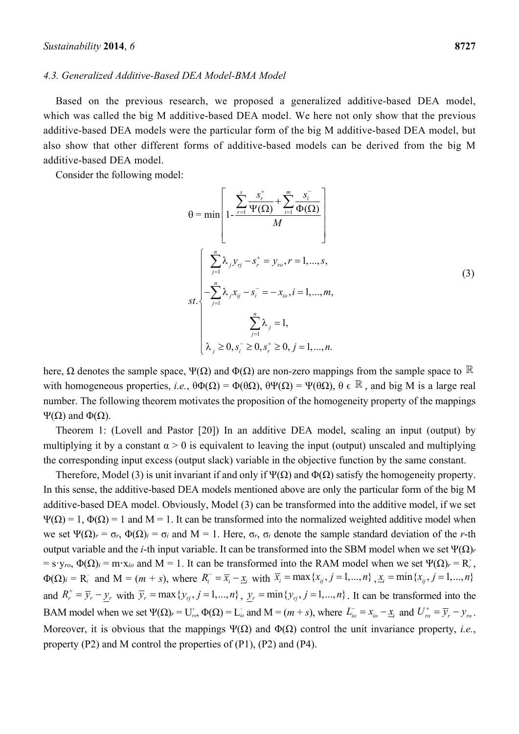#### *4.3. Generalized Additive-Based DEA Model-BMA Model*

Based on the previous research, we proposed a generalized additive-based DEA model, which was called the big M additive-based DEA model. We here not only show that the previous additive-based DEA models were the particular form of the big M additive-based DEA model, but also show that other different forms of additive-based models can be derived from the big M additive-based DEA model.

Consider the following model:

$$
\theta = \min \left[ 1 - \frac{\sum_{r=1}^{s} \frac{s_r^+}{\Psi(\Omega)} + \sum_{i=1}^{m} \frac{s_i^-}{\Phi(\Omega)}}{M} \right]
$$
\n
$$
st. \left\{ \sum_{j=1}^{n} \lambda_j y_{rj} - s_r^+ = y_{ro}, r = 1, ..., s,
$$
\n
$$
st. \left\{ -\sum_{j=1}^{n} \lambda_j x_{rj} - s_i^- = -x_{io}, i = 1, ..., m, \sum_{j=1}^{n} \lambda_j = 1, \sum_{j=1}^{n} \lambda_j = 1, \sum_{j=1}^{n} \lambda_j = 1, ..., n. \right\}
$$
\n
$$
(3)
$$

here,  $\Omega$  denotes the sample space,  $\Psi(\Omega)$  and  $\Phi(\Omega)$  are non-zero mappings from the sample space to  $\mathbb R$ with homogeneous properties, *i.e.*,  $\theta \Phi(\Omega) = \Phi(\theta \Omega)$ ,  $\theta \Psi(\Omega) = \Psi(\theta \Omega)$ ,  $\theta \in \mathbb{R}$ , and big M is a large real number. The following theorem motivates the proposition of the homogeneity property of the mappings Ψ(Ω) and Φ(Ω).

Theorem 1: (Lovell and Pastor [20]) In an additive DEA model, scaling an input (output) by multiplying it by a constant  $\alpha > 0$  is equivalent to leaving the input (output) unscaled and multiplying the corresponding input excess (output slack) variable in the objective function by the same constant.

Therefore, Model (3) is unit invariant if and only if  $\Psi(\Omega)$  and  $\Phi(\Omega)$  satisfy the homogeneity property. In this sense, the additive-based DEA models mentioned above are only the particular form of the big M additive-based DEA model. Obviously, Model (3) can be transformed into the additive model, if we set  $Ψ(Ω) = 1$ ,  $Φ(Ω) = 1$  and M = 1. It can be transformed into the normalized weighted additive model when we set Ψ(Ω)*r* = σ*r*, Φ(Ω)*i* = σ*i* and M = 1. Here, σ*r*, σ*i* denote the sample standard deviation of the *r*-th output variable and the *i*-th input variable. It can be transformed into the SBM model when we set Ψ(Ω)*<sup>r</sup>*  $=$  s·y<sub>ro</sub>,  $\Phi(\Omega)$ <sub>*i*</sub> = m·x<sub>*io*</sub> and M = 1. It can be transformed into the RAM model when we set  $\Psi(\Omega)$ <sub>*r*</sub> = R<sup>+</sup><sub>*r*</sub></sub>,  $\Phi(\Omega)_{i} = R_{i}^{-}$  and  $M = (m + s)$ , where  $R_{i}^{-} = \overline{x}_{i} - \underline{x}_{i}$  with  $\overline{x}_{i} = \max\{x_{ij}, j = 1, ..., n\}$ ,  $\underline{x}_{i} = \min\{x_{ij}, j = 1, ..., n\}$ and  $R_r^+ = \overline{y}_r - y_r$  with  $\overline{y}_r = \max\{y_{rj}, j = 1,...,n\}$ ,  $y_r = \min\{y_{rj}, j = 1,...,n\}$ . It can be transformed into the BAM model when we set  $\Psi(\Omega)_r = U_{r_0}^*$ ,  $\Phi(\Omega) = L_{i_0}^-$  and  $M = (m + s)$ , where  $L_{i_0}^- = x_{i_0} - \underline{x}_i$  and  $U_{r_0}^+ = \overline{y}_r - y_{r_0}$ . Moreover, it is obvious that the mappings  $\Psi(\Omega)$  and  $\Phi(\Omega)$  control the unit invariance property, *i.e.*, property (P2) and M control the properties of (P1), (P2) and (P4).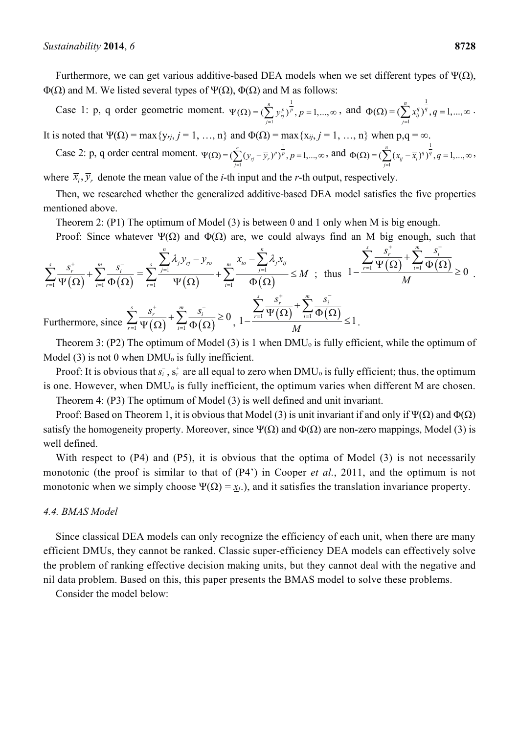Furthermore, we can get various additive-based DEA models when we set different types of  $\Psi(\Omega)$ , Φ(Ω) and M. We listed several types of Ψ(Ω), Φ(Ω) and M as follows:

Case 1: p, q order geometric moment.  $\Psi(\Omega) = (\sum_{n=1}^{n} v^n)^{\frac{1}{n}}$ 1  $(Q) = (\sum_{j=1}^{n} y_{rj}^{p})^{\frac{1}{p}}, p = 1, \ldots,$  $(y_{ri}^p)^p$ , p  $\Psi(\Omega) = (\sum_{j=1}^{n} y_{rj}^p)^{\frac{1}{p}}, p = 1, ..., \infty$ , and  $\Phi(\Omega) = (\sum_{j=1}^{n} x_{ij}^q)^{\frac{1}{q}}$ 1  $(Q) = (\sum_{j=1}^{n} x_{ij}^{q})^{\frac{1}{q}}, q = 1, \dots,$  $(x_{ii}^q)^q, q$  $\Phi(\Omega) = (\sum_{j=1} x_{ij}^q)^q, q = 1, ..., \infty$ .

It is noted that  $\Psi(\Omega) = \max\{y_{rj}, j = 1, ..., n\}$  and  $\Phi(\Omega) = \max\{x_{ij}, j = 1, ..., n\}$  when  $p,q = \infty$ .

Case 2: p, q order central moment. 
$$
\Psi(\Omega) = \left(\sum_{j=1}^{n} (y_{ij} - \overline{y}_{i.})^p\right)^{\frac{1}{p}}, p = 1, \ldots, \infty,
$$
 and  $\Phi(\Omega) = \left(\sum_{j=1}^{n} (x_{ij} - \overline{x}_{i.})^q\right)^{\frac{1}{q}}, q = 1, \ldots, \infty,$ 

where  $\bar{x}_i$ ,  $\bar{y}_r$  denote the mean value of the *i*-th input and the *r*-th output, respectively.

Then, we researched whether the generalized additive-based DEA model satisfies the five properties mentioned above.

Theorem 2: (P1) The optimum of Model (3) is between 0 and 1 only when M is big enough.

Proof: Since whatever  $\Psi(\Omega)$  and  $\Phi(\Omega)$  are, we could always find an M big enough, such that

$$
\sum_{r=1}^{s} \frac{s_r^+}{\Psi(\Omega)} + \sum_{i=1}^{m} \frac{s_i^-}{\Phi(\Omega)} = \sum_{r=1}^{s} \frac{\sum_{j=1}^{n} \lambda_j y_{rj} - y_{ro}}{\Psi(\Omega)} + \sum_{i=1}^{m} \frac{x_{io} - \sum_{j=1}^{n} \lambda_j x_{ij}}{\Phi(\Omega)} \le M \text{ ; thus } 1 - \frac{\sum_{r=1}^{s} \frac{s_r^+}{\Psi(\Omega)} + \sum_{i=1}^{m} \frac{s_i^-}{\Phi(\Omega)}}{M} \ge 0.
$$
\n\nFurthermore, since 
$$
\sum_{r=1}^{s} \frac{s_r^+}{\Psi(\Omega)} + \sum_{i=1}^{m} \frac{s_i^-}{\Phi(\Omega)} \ge 0, 1 - \frac{\sum_{r=1}^{s} \frac{s_r^+}{\Psi(\Omega)} + \sum_{i=1}^{m} \frac{s_i^-}{\Phi(\Omega)}}{M} \le 1.
$$

Theorem 3: (P2) The optimum of Model (3) is 1 when  $DMU<sub>o</sub>$  is fully efficient, while the optimum of Model  $(3)$  is not 0 when DMU<sub>o</sub> is fully inefficient.

Proof: It is obvious that  $s_i$ ,  $s_r$  are all equal to zero when DMU<sub>o</sub> is fully efficient; thus, the optimum is one. However, when DMU<sub>0</sub> is fully inefficient, the optimum varies when different M are chosen.

Theorem 4: (P3) The optimum of Model (3) is well defined and unit invariant.

Proof: Based on Theorem 1, it is obvious that Model (3) is unit invariant if and only if  $\Psi(\Omega)$  and  $\Phi(\Omega)$ satisfy the homogeneity property. Moreover, since  $\Psi(\Omega)$  and  $\Phi(\Omega)$  are non-zero mappings, Model (3) is well defined.

With respect to (P4) and (P5), it is obvious that the optima of Model (3) is not necessarily monotonic (the proof is similar to that of (P4') in Cooper *et al.*, 2011, and the optimum is not monotonic when we simply choose  $\Psi(\Omega) = x_i$ .), and it satisfies the translation invariance property.

#### *4.4. BMAS Model*

Since classical DEA models can only recognize the efficiency of each unit, when there are many efficient DMUs, they cannot be ranked. Classic super-efficiency DEA models can effectively solve the problem of ranking effective decision making units, but they cannot deal with the negative and nil data problem. Based on this, this paper presents the BMAS model to solve these problems.

Consider the model below: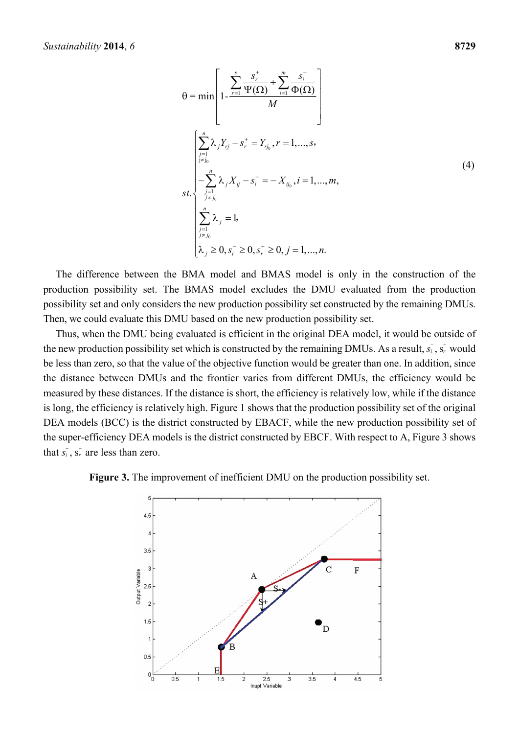$$
\theta = \min \left[ 1 - \frac{\sum_{r=1}^{s} \frac{s_r^+}{\Psi(\Omega)} + \sum_{i=1}^{m} \frac{s_i^-}{\Phi(\Omega)}}{M} \right]
$$
\n
$$
\left[ \sum_{j=1 \atop j \neq j_0}^{n} \lambda_j Y_{rj} - s_r^+ = Y_{rj_0}, r = 1, ..., s,
$$
\n*st.*\n
$$
\left\{ \sum_{j=1 \atop j \neq j_0}^{n} \lambda_j X_{ij} - s_i^- = -X_{ij_0}, i = 1, ..., m,
$$
\n*st.*\n
$$
\left\{ \sum_{j=1 \atop j \neq j_0}^{n} \lambda_j = 1, \dots, m, s_j \ge 0, s_i^- \ge 0, j = 1, ..., n.
$$
\n(4)

The difference between the BMA model and BMAS model is only in the construction of the production possibility set. The BMAS model excludes the DMU evaluated from the production possibility set and only considers the new production possibility set constructed by the remaining DMUs. Then, we could evaluate this DMU based on the new production possibility set.

Thus, when the DMU being evaluated is efficient in the original DEA model, it would be outside of the new production possibility set which is constructed by the remaining DMUs. As a result,  $s_i^{\dagger}$ ,  $s_r^{\dagger}$  would be less than zero, so that the value of the objective function would be greater than one. In addition, since the distance between DMUs and the frontier varies from different DMUs, the efficiency would be measured by these distances. If the distance is short, the efficiency is relatively low, while if the distance is long, the efficiency is relatively high. Figure 1 shows that the production possibility set of the original DEA models (BCC) is the district constructed by EBACF, while the new production possibility set of the super-efficiency DEA models is the district constructed by EBCF. With respect to A, Figure 3 shows that  $s_i$ ,  $s_i$ <sup>+</sup> are less than zero.

#### **Figure 3.** The improvement of inefficient DMU on the production possibility set.

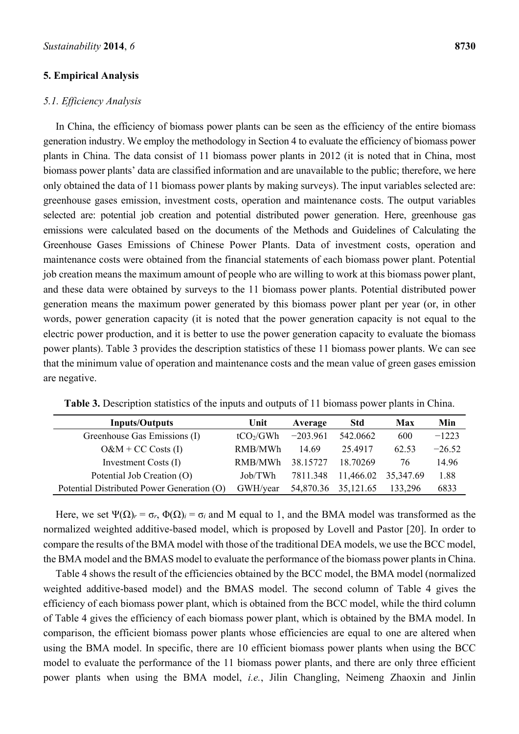# **5. Empirical Analysis**

#### *5.1. Efficiency Analysis*

In China, the efficiency of biomass power plants can be seen as the efficiency of the entire biomass generation industry. We employ the methodology in Section 4 to evaluate the efficiency of biomass power plants in China. The data consist of 11 biomass power plants in 2012 (it is noted that in China, most biomass power plants' data are classified information and are unavailable to the public; therefore, we here only obtained the data of 11 biomass power plants by making surveys). The input variables selected are: greenhouse gases emission, investment costs, operation and maintenance costs. The output variables selected are: potential job creation and potential distributed power generation. Here, greenhouse gas emissions were calculated based on the documents of the Methods and Guidelines of Calculating the Greenhouse Gases Emissions of Chinese Power Plants. Data of investment costs, operation and maintenance costs were obtained from the financial statements of each biomass power plant. Potential job creation means the maximum amount of people who are willing to work at this biomass power plant, and these data were obtained by surveys to the 11 biomass power plants. Potential distributed power generation means the maximum power generated by this biomass power plant per year (or, in other words, power generation capacity (it is noted that the power generation capacity is not equal to the electric power production, and it is better to use the power generation capacity to evaluate the biomass power plants). Table 3 provides the description statistics of these 11 biomass power plants. We can see that the minimum value of operation and maintenance costs and the mean value of green gases emission are negative.

| <b>Inputs/Outputs</b>                      | Unit                  | Average    | <b>Std</b> | <b>Max</b> | Min      |
|--------------------------------------------|-----------------------|------------|------------|------------|----------|
| Greenhouse Gas Emissions (I)               | tCO <sub>2</sub> /GWh | $-203.961$ | 542.0662   | 600        | $-1223$  |
| $O\&M + CC$ Costs (I)                      | RMB/MWh               | 14.69      | 25 49 17   | 62.53      | $-26.52$ |
| Investment Costs (I)                       | RMB/MWh               | 38.15727   | 18 70269   | 76         | 14.96    |
| Potential Job Creation (O)                 | Job/TWh               | 7811.348   | 11,466.02  | 35,347.69  | 1.88     |
| Potential Distributed Power Generation (O) | GWH/year              | 54,870.36  | 35,121.65  | 133,296    | 6833     |

**Table 3.** Description statistics of the inputs and outputs of 11 biomass power plants in China.

Here, we set  $\Psi(\Omega)_r = \sigma_r$ ,  $\Phi(\Omega)_i = \sigma_i$  and M equal to 1, and the BMA model was transformed as the normalized weighted additive-based model, which is proposed by Lovell and Pastor [20]. In order to compare the results of the BMA model with those of the traditional DEA models, we use the BCC model, the BMA model and the BMAS model to evaluate the performance of the biomass power plants in China.

Table 4 shows the result of the efficiencies obtained by the BCC model, the BMA model (normalized weighted additive-based model) and the BMAS model. The second column of Table 4 gives the efficiency of each biomass power plant, which is obtained from the BCC model, while the third column of Table 4 gives the efficiency of each biomass power plant, which is obtained by the BMA model. In comparison, the efficient biomass power plants whose efficiencies are equal to one are altered when using the BMA model. In specific, there are 10 efficient biomass power plants when using the BCC model to evaluate the performance of the 11 biomass power plants, and there are only three efficient power plants when using the BMA model, *i.e.*, Jilin Changling, Neimeng Zhaoxin and Jinlin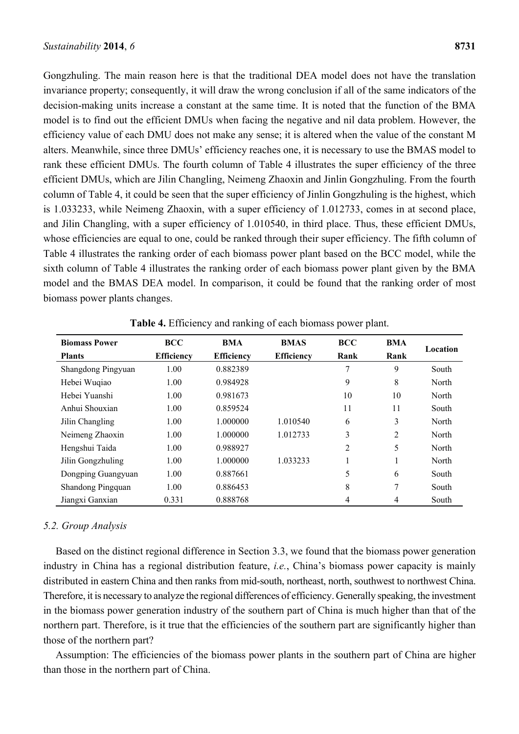Gongzhuling. The main reason here is that the traditional DEA model does not have the translation invariance property; consequently, it will draw the wrong conclusion if all of the same indicators of the decision-making units increase a constant at the same time. It is noted that the function of the BMA model is to find out the efficient DMUs when facing the negative and nil data problem. However, the efficiency value of each DMU does not make any sense; it is altered when the value of the constant M alters. Meanwhile, since three DMUs' efficiency reaches one, it is necessary to use the BMAS model to rank these efficient DMUs. The fourth column of Table 4 illustrates the super efficiency of the three efficient DMUs, which are Jilin Changling, Neimeng Zhaoxin and Jinlin Gongzhuling. From the fourth column of Table 4, it could be seen that the super efficiency of Jinlin Gongzhuling is the highest, which is 1.033233, while Neimeng Zhaoxin, with a super efficiency of 1.012733, comes in at second place, and Jilin Changling, with a super efficiency of 1.010540, in third place. Thus, these efficient DMUs, whose efficiencies are equal to one, could be ranked through their super efficiency. The fifth column of Table 4 illustrates the ranking order of each biomass power plant based on the BCC model, while the sixth column of Table 4 illustrates the ranking order of each biomass power plant given by the BMA model and the BMAS DEA model. In comparison, it could be found that the ranking order of most biomass power plants changes.

| <b>Biomass Power</b> | <b>BCC</b>        | BMA               | <b>BMAS</b>       | <b>BCC</b> | <b>BMA</b>   |          |
|----------------------|-------------------|-------------------|-------------------|------------|--------------|----------|
| <b>Plants</b>        | <b>Efficiency</b> | <b>Efficiency</b> | <b>Efficiency</b> | Rank       | Rank         | Location |
| Shangdong Pingyuan   | 1.00              | 0.882389          |                   | 7          | 9            | South    |
| Hebei Wuqiao         | 1.00              | 0.984928          |                   | 9          | 8            | North    |
| Hebei Yuanshi        | 1.00              | 0.981673          |                   | 10         | 10           | North    |
| Anhui Shouxian       | 1.00              | 0.859524          |                   | 11         | 11           | South    |
| Jilin Changling      | 1.00              | 1.000000          | 1.010540          | 6          | 3            | North    |
| Neimeng Zhaoxin      | 1.00              | 1.000000          | 1.012733          | 3          | 2            | North    |
| Hengshui Taida       | 1.00              | 0.988927          |                   | 2          | 5            | North    |
| Jilin Gongzhuling    | 1.00              | 1.000000          | 1.033233          |            | $\mathbf{1}$ | North    |
| Dongping Guangyuan   | 1.00              | 0.887661          |                   | 5          | 6            | South    |
| Shandong Pingquan    | 1.00              | 0.886453          |                   | 8          | 7            | South    |
| Jiangxi Ganxian      | 0.331             | 0.888768          |                   | 4          | 4            | South    |

**Table 4.** Efficiency and ranking of each biomass power plant.

#### *5.2. Group Analysis*

Based on the distinct regional difference in Section 3.3, we found that the biomass power generation industry in China has a regional distribution feature, *i.e.*, China's biomass power capacity is mainly distributed in eastern China and then ranks from mid-south, northeast, north, southwest to northwest China. Therefore, it is necessary to analyze the regional differences of efficiency. Generally speaking, the investment in the biomass power generation industry of the southern part of China is much higher than that of the northern part. Therefore, is it true that the efficiencies of the southern part are significantly higher than those of the northern part?

Assumption: The efficiencies of the biomass power plants in the southern part of China are higher than those in the northern part of China.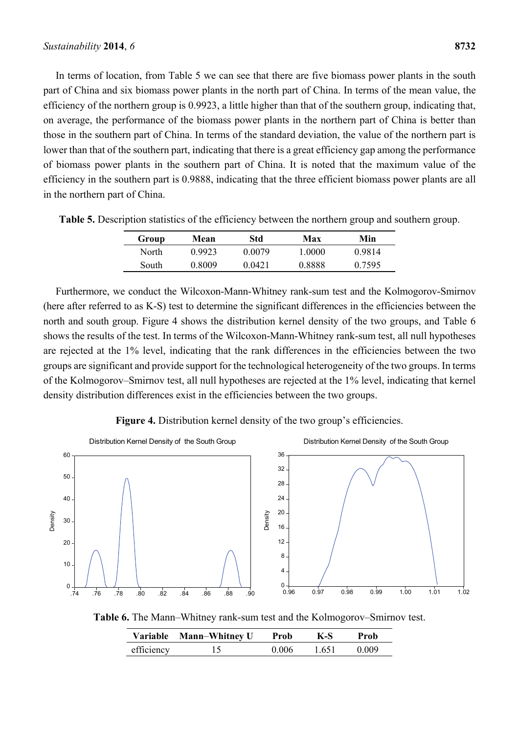In terms of location, from Table 5 we can see that there are five biomass power plants in the south part of China and six biomass power plants in the north part of China. In terms of the mean value, the efficiency of the northern group is 0.9923, a little higher than that of the southern group, indicating that, on average, the performance of the biomass power plants in the northern part of China is better than those in the southern part of China. In terms of the standard deviation, the value of the northern part is lower than that of the southern part, indicating that there is a great efficiency gap among the performance of biomass power plants in the southern part of China. It is noted that the maximum value of the efficiency in the southern part is 0.9888, indicating that the three efficient biomass power plants are all in the northern part of China.

| Group | Mean   | Std    | Max    | Min    |
|-------|--------|--------|--------|--------|
| North | 0.9923 | 0.0079 | 1 0000 | 0.9814 |
| South | 0.8009 | 0.0421 | 0.8888 | 0.7595 |

**Table 5.** Description statistics of the efficiency between the northern group and southern group.

Furthermore, we conduct the Wilcoxon-Mann-Whitney rank-sum test and the Kolmogorov-Smirnov (here after referred to as K-S) test to determine the significant differences in the efficiencies between the north and south group. Figure 4 shows the distribution kernel density of the two groups, and Table 6 shows the results of the test. In terms of the Wilcoxon-Mann-Whitney rank-sum test, all null hypotheses are rejected at the 1% level, indicating that the rank differences in the efficiencies between the two groups are significant and provide support for the technological heterogeneity of the two groups. In terms of the Kolmogorov–Smirnov test, all null hypotheses are rejected at the 1% level, indicating that kernel density distribution differences exist in the efficiencies between the two groups.





**Table 6.** The Mann–Whitney rank-sum test and the Kolmogorov–Smirnov test.

|            | Variable Mann-Whitney U | Prob  | K-S   | Prob  |
|------------|-------------------------|-------|-------|-------|
| efficiency |                         | 0.006 | 1.651 | 0.009 |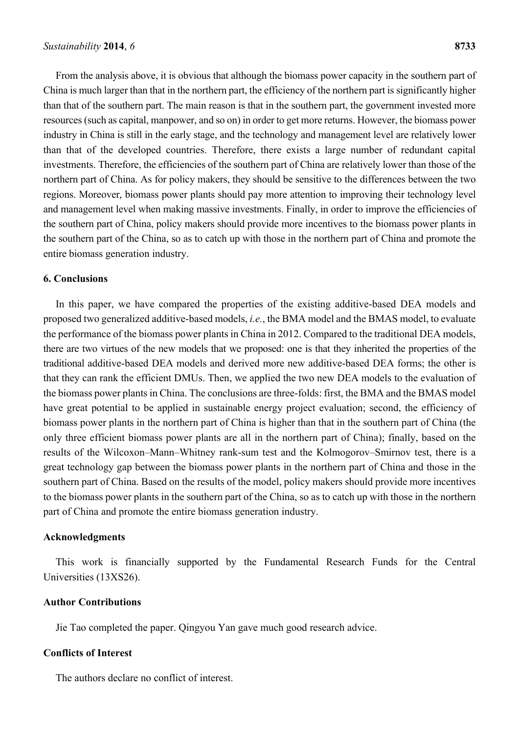From the analysis above, it is obvious that although the biomass power capacity in the southern part of China is much larger than that in the northern part, the efficiency of the northern part is significantly higher than that of the southern part. The main reason is that in the southern part, the government invested more resources (such as capital, manpower, and so on) in order to get more returns. However, the biomass power industry in China is still in the early stage, and the technology and management level are relatively lower than that of the developed countries. Therefore, there exists a large number of redundant capital investments. Therefore, the efficiencies of the southern part of China are relatively lower than those of the northern part of China. As for policy makers, they should be sensitive to the differences between the two regions. Moreover, biomass power plants should pay more attention to improving their technology level and management level when making massive investments. Finally, in order to improve the efficiencies of the southern part of China, policy makers should provide more incentives to the biomass power plants in the southern part of the China, so as to catch up with those in the northern part of China and promote the entire biomass generation industry.

# **6. Conclusions**

In this paper, we have compared the properties of the existing additive-based DEA models and proposed two generalized additive-based models, *i.e.*, the BMA model and the BMAS model, to evaluate the performance of the biomass power plants in China in 2012. Compared to the traditional DEA models, there are two virtues of the new models that we proposed: one is that they inherited the properties of the traditional additive-based DEA models and derived more new additive-based DEA forms; the other is that they can rank the efficient DMUs. Then, we applied the two new DEA models to the evaluation of the biomass power plants in China. The conclusions are three-folds: first, the BMA and the BMAS model have great potential to be applied in sustainable energy project evaluation; second, the efficiency of biomass power plants in the northern part of China is higher than that in the southern part of China (the only three efficient biomass power plants are all in the northern part of China); finally, based on the results of the Wilcoxon–Mann–Whitney rank-sum test and the Kolmogorov–Smirnov test, there is a great technology gap between the biomass power plants in the northern part of China and those in the southern part of China. Based on the results of the model, policy makers should provide more incentives to the biomass power plants in the southern part of the China, so as to catch up with those in the northern part of China and promote the entire biomass generation industry.

#### **Acknowledgments**

This work is financially supported by the Fundamental Research Funds for the Central Universities (13XS26).

#### **Author Contributions**

Jie Tao completed the paper. Qingyou Yan gave much good research advice.

# **Conflicts of Interest**

The authors declare no conflict of interest.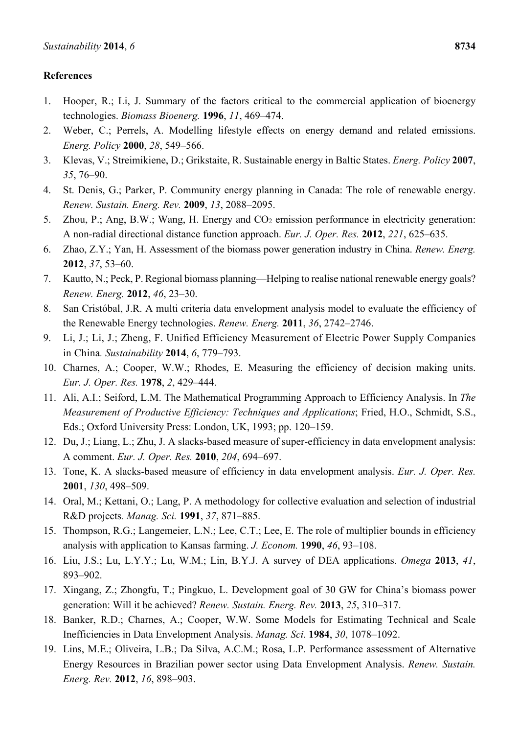# **References**

- 1. Hooper, R.; Li, J. Summary of the factors critical to the commercial application of bioenergy technologies. *Biomass Bioenerg.* **1996**, *11*, 469–474.
- 2. Weber, C.; Perrels, A. Modelling lifestyle effects on energy demand and related emissions. *Energ. Policy* **2000**, *28*, 549–566.
- 3. Klevas, V.; Streimikiene, D.; Grikstaite, R. Sustainable energy in Baltic States. *Energ. Policy* **2007**, *35*, 76–90.
- 4. St. Denis, G.; Parker, P. Community energy planning in Canada: The role of renewable energy. *Renew. Sustain. Energ. Rev.* **2009**, *13*, 2088–2095.
- 5. Zhou, P.; Ang, B.W.; Wang, H. Energy and CO2 emission performance in electricity generation: A non-radial directional distance function approach. *Eur. J. Oper. Res.* **2012**, *221*, 625–635.
- 6. Zhao, Z.Y.; Yan, H. Assessment of the biomass power generation industry in China. *Renew. Energ.* **2012**, *37*, 53–60.
- 7. Kautto, N.; Peck, P. Regional biomass planning—Helping to realise national renewable energy goals? *Renew. Energ.* **2012**, *46*, 23–30.
- 8. San Cristóbal, J.R. A multi criteria data envelopment analysis model to evaluate the efficiency of the Renewable Energy technologies. *Renew. Energ.* **2011**, *36*, 2742–2746.
- 9. Li, J.; Li, J.; Zheng, F. Unified Efficiency Measurement of Electric Power Supply Companies in China*. Sustainability* **2014**, *6*, 779–793.
- 10. Charnes, A.; Cooper, W.W.; Rhodes, E. Measuring the efficiency of decision making units. *Eur. J. Oper. Res.* **1978**, *2*, 429–444.
- 11. Ali, A.I.; Seiford, L.M. The Mathematical Programming Approach to Efficiency Analysis. In *The Measurement of Productive Efficiency: Techniques and Applications*; Fried, H.O., Schmidt, S.S., Eds.; Oxford University Press: London, UK, 1993; pp. 120–159.
- 12. Du, J.; Liang, L.; Zhu, J. A slacks-based measure of super-efficiency in data envelopment analysis: A comment. *Eur. J. Oper. Res.* **2010**, *204*, 694–697.
- 13. Tone, K. A slacks-based measure of efficiency in data envelopment analysis. *Eur. J. Oper. Res.* **2001**, *130*, 498–509.
- 14. Oral, M.; Kettani, O.; Lang, P. A methodology for collective evaluation and selection of industrial R&D projects*. Manag. Sci.* **1991**, *37*, 871–885.
- 15. Thompson, R.G.; Langemeier, L.N.; Lee, C.T.; Lee, E. The role of multiplier bounds in efficiency analysis with application to Kansas farming. *J. Econom.* **1990**, *46*, 93–108.
- 16. Liu, J.S.; Lu, L.Y.Y.; Lu, W.M.; Lin, B.Y.J. A survey of DEA applications. *Omega* **2013**, *41*, 893–902.
- 17. Xingang, Z.; Zhongfu, T.; Pingkuo, L. Development goal of 30 GW for China's biomass power generation: Will it be achieved? *Renew. Sustain. Energ. Rev.* **2013**, *25*, 310–317.
- 18. Banker, R.D.; Charnes, A.; Cooper, W.W. Some Models for Estimating Technical and Scale Inefficiencies in Data Envelopment Analysis. *Manag. Sci.* **1984**, *30*, 1078–1092.
- 19. Lins, M.E.; Oliveira, L.B.; Da Silva, A.C.M.; Rosa, L.P. Performance assessment of Alternative Energy Resources in Brazilian power sector using Data Envelopment Analysis. *Renew. Sustain. Energ. Rev.* **2012**, *16*, 898–903.